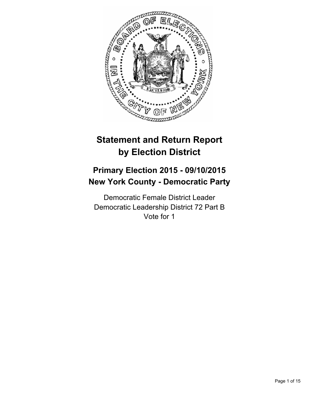

# **Statement and Return Report by Election District**

## **Primary Election 2015 - 09/10/2015 New York County - Democratic Party**

Democratic Female District Leader Democratic Leadership District 72 Part B Vote for 1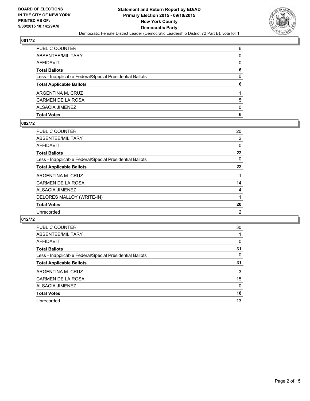

| PUBLIC COUNTER                                           | 6            |
|----------------------------------------------------------|--------------|
| ABSENTEE/MILITARY                                        | 0            |
| AFFIDAVIT                                                | $\mathbf{0}$ |
| Total Ballots                                            | 6            |
| Less - Inapplicable Federal/Special Presidential Ballots | $\mathbf{0}$ |
| <b>Total Applicable Ballots</b>                          | 6            |
| ARGENTINA M. CRUZ                                        |              |
| CARMEN DE LA ROSA                                        | 5            |
| ALSACIA JIMENEZ                                          | $\mathbf{0}$ |
| Total Votes                                              | 6            |
|                                                          |              |

#### **002/72**

| PUBLIC COUNTER                                           | 20 |
|----------------------------------------------------------|----|
| ABSENTEE/MILITARY                                        | 2  |
| AFFIDAVIT                                                | 0  |
| <b>Total Ballots</b>                                     | 22 |
| Less - Inapplicable Federal/Special Presidential Ballots | 0  |
| <b>Total Applicable Ballots</b>                          | 22 |
| ARGENTINA M. CRUZ                                        | 1  |
| CARMEN DE LA ROSA                                        | 14 |
| ALSACIA JIMENEZ                                          | 4  |
| DELORES MALLOY (WRITE-IN)                                | 1  |
| <b>Total Votes</b>                                       | 20 |
| Unrecorded                                               | 2  |

| <b>PUBLIC COUNTER</b>                                    | 30 |
|----------------------------------------------------------|----|
| ABSENTEE/MILITARY                                        |    |
| AFFIDAVIT                                                | 0  |
| <b>Total Ballots</b>                                     | 31 |
| Less - Inapplicable Federal/Special Presidential Ballots | 0  |
| <b>Total Applicable Ballots</b>                          | 31 |
| ARGENTINA M. CRUZ                                        | 3  |
| <b>CARMEN DE LA ROSA</b>                                 | 15 |
| <b>ALSACIA JIMENEZ</b>                                   | 0  |
| <b>Total Votes</b>                                       | 18 |
| Unrecorded                                               | 13 |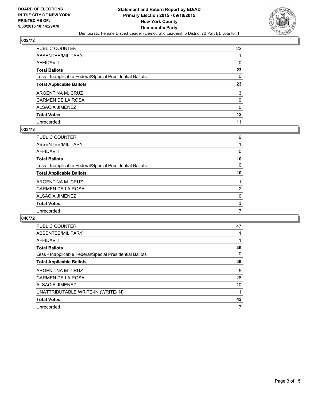

| PUBLIC COUNTER                                           | 22 |
|----------------------------------------------------------|----|
| ABSENTEE/MILITARY                                        |    |
| AFFIDAVIT                                                | 0  |
| Total Ballots                                            | 23 |
| Less - Inapplicable Federal/Special Presidential Ballots | 0  |
| <b>Total Applicable Ballots</b>                          | 23 |
| ARGENTINA M. CRUZ                                        | 3  |
| CARMEN DE LA ROSA                                        | 9  |
| ALSACIA JIMENEZ                                          | 0  |
| <b>Total Votes</b>                                       | 12 |
| Unrecorded                                               | 11 |

#### **033/72**

| PUBLIC COUNTER                                           | 9              |
|----------------------------------------------------------|----------------|
| ABSENTEE/MILITARY                                        |                |
| <b>AFFIDAVIT</b>                                         | 0              |
| <b>Total Ballots</b>                                     | 10             |
| Less - Inapplicable Federal/Special Presidential Ballots | 0              |
| <b>Total Applicable Ballots</b>                          | 10             |
| ARGENTINA M. CRUZ                                        |                |
| CARMEN DE LA ROSA                                        | $\overline{2}$ |
| <b>ALSACIA JIMENEZ</b>                                   | 0              |
| <b>Total Votes</b>                                       | 3              |
| Unrecorded                                               | 7              |
|                                                          |                |

| <b>PUBLIC COUNTER</b>                                    | 47 |
|----------------------------------------------------------|----|
| ABSENTEE/MILITARY                                        |    |
| <b>AFFIDAVIT</b>                                         |    |
| <b>Total Ballots</b>                                     | 49 |
| Less - Inapplicable Federal/Special Presidential Ballots | 0  |
| <b>Total Applicable Ballots</b>                          | 49 |
| ARGENTINA M. CRUZ                                        | 5  |
| CARMEN DE LA ROSA                                        | 26 |
| <b>ALSACIA JIMENEZ</b>                                   | 10 |
| UNATTRIBUTABLE WRITE-IN (WRITE-IN)                       |    |
| <b>Total Votes</b>                                       | 42 |
| Unrecorded                                               | 7  |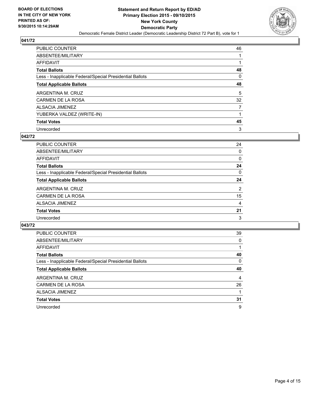

| PUBLIC COUNTER                                           | 46             |
|----------------------------------------------------------|----------------|
| ABSENTEE/MILITARY                                        |                |
| AFFIDAVIT                                                |                |
| Total Ballots                                            | 48             |
| Less - Inapplicable Federal/Special Presidential Ballots | 0              |
| <b>Total Applicable Ballots</b>                          | 48             |
| ARGENTINA M. CRUZ                                        | 5              |
| CARMEN DE LA ROSA                                        | 32             |
| ALSACIA JIMENEZ                                          | $\overline{7}$ |
| YUBERKA VALDEZ (WRITE-IN)                                |                |
| <b>Total Votes</b>                                       | 45             |
| Unrecorded                                               | 3              |

#### **042/72**

| PUBLIC COUNTER                                           | 24 |
|----------------------------------------------------------|----|
| ABSENTEE/MILITARY                                        | 0  |
| AFFIDAVIT                                                | 0  |
| <b>Total Ballots</b>                                     | 24 |
| Less - Inapplicable Federal/Special Presidential Ballots | 0  |
| <b>Total Applicable Ballots</b>                          | 24 |
| ARGENTINA M. CRUZ                                        | 2  |
| <b>CARMEN DE LA ROSA</b>                                 | 15 |
| <b>ALSACIA JIMENEZ</b>                                   | 4  |
| <b>Total Votes</b>                                       | 21 |
| Unrecorded                                               | 3  |
|                                                          |    |

| <b>PUBLIC COUNTER</b>                                    | 39 |
|----------------------------------------------------------|----|
| ABSENTEE/MILITARY                                        | 0  |
| AFFIDAVIT                                                |    |
| <b>Total Ballots</b>                                     | 40 |
| Less - Inapplicable Federal/Special Presidential Ballots | 0  |
| <b>Total Applicable Ballots</b>                          | 40 |
| ARGENTINA M. CRUZ                                        | 4  |
| CARMEN DE LA ROSA                                        | 26 |
| <b>ALSACIA JIMENEZ</b>                                   |    |
| <b>Total Votes</b>                                       | 31 |
| Unrecorded                                               | 9  |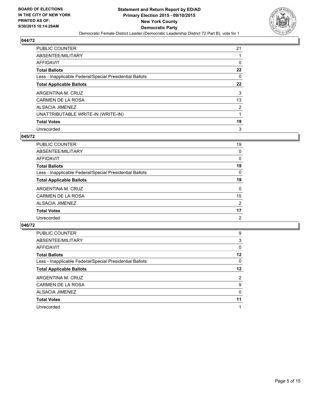

| PUBLIC COUNTER                                           | 21             |
|----------------------------------------------------------|----------------|
| ABSENTEE/MILITARY                                        |                |
| AFFIDAVIT                                                | 0              |
| Total Ballots                                            | 22             |
| Less - Inapplicable Federal/Special Presidential Ballots | 0              |
| <b>Total Applicable Ballots</b>                          | $22 \,$        |
| ARGENTINA M. CRUZ                                        | 3              |
| CARMEN DE LA ROSA                                        | 13             |
| ALSACIA JIMENEZ                                          | $\overline{2}$ |
| UNATTRIBUTABLE WRITE-IN (WRITE-IN)                       |                |
| <b>Total Votes</b>                                       | 19             |
| Unrecorded                                               | 3              |

#### **045/72**

| <b>PUBLIC COUNTER</b>                                    | 19             |
|----------------------------------------------------------|----------------|
| ABSENTEE/MILITARY                                        | 0              |
| <b>AFFIDAVIT</b>                                         | 0              |
| <b>Total Ballots</b>                                     | 19             |
| Less - Inapplicable Federal/Special Presidential Ballots | $\Omega$       |
| <b>Total Applicable Ballots</b>                          | 19             |
| ARGENTINA M. CRUZ                                        | $\Omega$       |
| CARMEN DE LA ROSA                                        | 15             |
| ALSACIA JIMENEZ                                          | $\overline{2}$ |
| <b>Total Votes</b>                                       | 17             |
| Unrecorded                                               | 2              |
|                                                          |                |

| <b>PUBLIC COUNTER</b>                                    | 9       |
|----------------------------------------------------------|---------|
| ABSENTEE/MILITARY                                        | 3       |
| AFFIDAVIT                                                | 0       |
| <b>Total Ballots</b>                                     | 12      |
| Less - Inapplicable Federal/Special Presidential Ballots | 0       |
| <b>Total Applicable Ballots</b>                          | $12 \,$ |
| ARGENTINA M. CRUZ                                        | 2       |
| CARMEN DE LA ROSA                                        | 9       |
| ALSACIA JIMENEZ                                          | 0       |
| <b>Total Votes</b>                                       | 11      |
| Unrecorded                                               |         |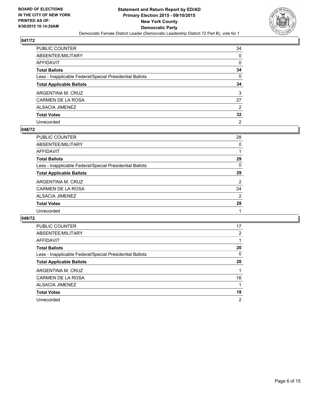

| PUBLIC COUNTER                                           | 34              |
|----------------------------------------------------------|-----------------|
| ABSENTEE/MILITARY                                        | 0               |
| AFFIDAVIT                                                | 0               |
| Total Ballots                                            | 34              |
| Less - Inapplicable Federal/Special Presidential Ballots | 0               |
| <b>Total Applicable Ballots</b>                          | 34              |
| ARGENTINA M. CRUZ                                        | 3               |
| CARMEN DE LA ROSA                                        | 27              |
| ALSACIA JIMENEZ                                          | 2               |
| <b>Total Votes</b>                                       | $32\phantom{a}$ |
| Unrecorded                                               | $\overline{2}$  |

#### **048/72**

| <b>PUBLIC COUNTER</b>                                    | 28 |
|----------------------------------------------------------|----|
| ABSENTEE/MILITARY                                        | 0  |
| <b>AFFIDAVIT</b>                                         |    |
| <b>Total Ballots</b>                                     | 29 |
| Less - Inapplicable Federal/Special Presidential Ballots | 0  |
| <b>Total Applicable Ballots</b>                          | 29 |
| ARGENTINA M. CRUZ                                        | 2  |
| CARMEN DE LA ROSA                                        | 24 |
| ALSACIA JIMENEZ                                          | 2  |
| <b>Total Votes</b>                                       | 28 |
| Unrecorded                                               |    |
|                                                          |    |

| <b>PUBLIC COUNTER</b>                                    | 17             |
|----------------------------------------------------------|----------------|
| ABSENTEE/MILITARY                                        | $\overline{2}$ |
| <b>AFFIDAVIT</b>                                         |                |
| <b>Total Ballots</b>                                     | 20             |
| Less - Inapplicable Federal/Special Presidential Ballots | 0              |
| <b>Total Applicable Ballots</b>                          | 20             |
| ARGENTINA M. CRUZ                                        |                |
| CARMEN DE LA ROSA                                        | 16             |
| ALSACIA JIMENEZ                                          |                |
| <b>Total Votes</b>                                       | 18             |
| Unrecorded                                               | $\overline{2}$ |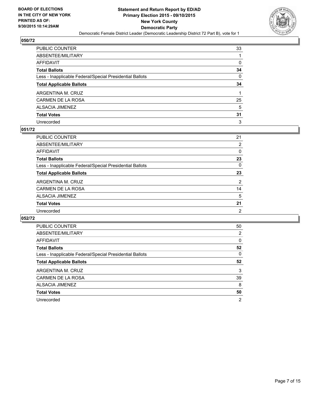

| PUBLIC COUNTER                                           | 33 |
|----------------------------------------------------------|----|
| ABSENTEE/MILITARY                                        |    |
| AFFIDAVIT                                                | 0  |
| Total Ballots                                            | 34 |
| Less - Inapplicable Federal/Special Presidential Ballots | 0  |
| <b>Total Applicable Ballots</b>                          | 34 |
| ARGENTINA M. CRUZ                                        |    |
| CARMEN DE LA ROSA                                        | 25 |
| ALSACIA JIMENEZ                                          | 5  |
| Total Votes                                              | 31 |
| Unrecorded                                               | 3  |

#### **051/72**

| <b>PUBLIC COUNTER</b>                                    | 21             |
|----------------------------------------------------------|----------------|
| ABSENTEE/MILITARY                                        | 2              |
| <b>AFFIDAVIT</b>                                         | 0              |
| <b>Total Ballots</b>                                     | 23             |
| Less - Inapplicable Federal/Special Presidential Ballots | $\Omega$       |
| <b>Total Applicable Ballots</b>                          | 23             |
| ARGENTINA M. CRUZ                                        | $\overline{2}$ |
| CARMEN DE LA ROSA                                        | 14             |
| ALSACIA JIMENEZ                                          | 5              |
| <b>Total Votes</b>                                       | 21             |
| Unrecorded                                               | $\overline{2}$ |
|                                                          |                |

| <b>PUBLIC COUNTER</b>                                    | 50             |
|----------------------------------------------------------|----------------|
| ABSENTEE/MILITARY                                        | 2              |
| AFFIDAVIT                                                | 0              |
| <b>Total Ballots</b>                                     | 52             |
| Less - Inapplicable Federal/Special Presidential Ballots | 0              |
| <b>Total Applicable Ballots</b>                          | 52             |
| ARGENTINA M. CRUZ                                        | 3              |
| CARMEN DE LA ROSA                                        | 39             |
| ALSACIA JIMENEZ                                          | 8              |
| <b>Total Votes</b>                                       | 50             |
| Unrecorded                                               | $\overline{2}$ |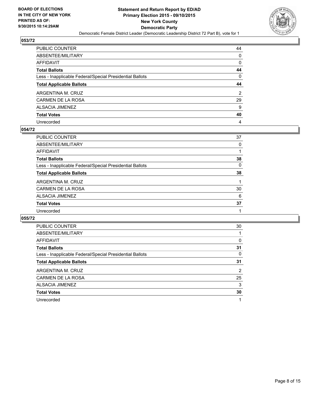

| PUBLIC COUNTER                                           | 44 |
|----------------------------------------------------------|----|
| ABSENTEE/MILITARY                                        | 0  |
| AFFIDAVIT                                                | 0  |
| Total Ballots                                            | 44 |
| Less - Inapplicable Federal/Special Presidential Ballots | 0  |
| <b>Total Applicable Ballots</b>                          | 44 |
| ARGENTINA M. CRUZ                                        | 2  |
| CARMEN DE LA ROSA                                        | 29 |
| ALSACIA JIMENEZ                                          | 9  |
| <b>Total Votes</b>                                       | 40 |
| Unrecorded                                               | 4  |

#### **054/72**

| <b>PUBLIC COUNTER</b>                                    | 37 |
|----------------------------------------------------------|----|
| ABSENTEE/MILITARY                                        | 0  |
| <b>AFFIDAVIT</b>                                         |    |
| <b>Total Ballots</b>                                     | 38 |
| Less - Inapplicable Federal/Special Presidential Ballots | 0  |
| <b>Total Applicable Ballots</b>                          | 38 |
| ARGENTINA M. CRUZ                                        |    |
| CARMEN DE LA ROSA                                        | 30 |
| ALSACIA JIMENEZ                                          | 6  |
| <b>Total Votes</b>                                       | 37 |
| Unrecorded                                               |    |
|                                                          |    |

| <b>PUBLIC COUNTER</b>                                    | 30             |
|----------------------------------------------------------|----------------|
| ABSENTEE/MILITARY                                        |                |
| <b>AFFIDAVIT</b>                                         | 0              |
| <b>Total Ballots</b>                                     | 31             |
| Less - Inapplicable Federal/Special Presidential Ballots | 0              |
| <b>Total Applicable Ballots</b>                          | 31             |
| ARGENTINA M. CRUZ                                        | $\overline{2}$ |
| CARMEN DE LA ROSA                                        | 25             |
| ALSACIA JIMENEZ                                          | 3              |
| <b>Total Votes</b>                                       | 30             |
| Unrecorded                                               |                |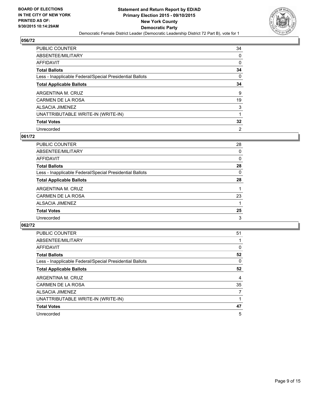

| PUBLIC COUNTER                                           | 34              |
|----------------------------------------------------------|-----------------|
| ABSENTEE/MILITARY                                        | 0               |
| AFFIDAVIT                                                | 0               |
| Total Ballots                                            | 34              |
| Less - Inapplicable Federal/Special Presidential Ballots | $\mathbf{0}$    |
| <b>Total Applicable Ballots</b>                          | 34              |
| ARGENTINA M. CRUZ                                        | 9               |
| CARMEN DE LA ROSA                                        | 19              |
| ALSACIA JIMENEZ                                          | 3               |
| UNATTRIBUTABLE WRITE-IN (WRITE-IN)                       |                 |
| <b>Total Votes</b>                                       | $32\phantom{a}$ |
| Unrecorded                                               | 2               |

#### **061/72**

| <b>PUBLIC COUNTER</b>                                    | 28       |
|----------------------------------------------------------|----------|
| ABSENTEE/MILITARY                                        | $\Omega$ |
| <b>AFFIDAVIT</b>                                         | 0        |
| <b>Total Ballots</b>                                     | 28       |
| Less - Inapplicable Federal/Special Presidential Ballots | 0        |
| <b>Total Applicable Ballots</b>                          | 28       |
| ARGENTINA M. CRUZ                                        |          |
| CARMEN DE LA ROSA                                        | 23       |
| ALSACIA JIMENEZ                                          |          |
| <b>Total Votes</b>                                       | 25       |
| Unrecorded                                               | 3        |
|                                                          |          |

| <b>PUBLIC COUNTER</b>                                    | 51 |
|----------------------------------------------------------|----|
| ABSENTEE/MILITARY                                        |    |
| <b>AFFIDAVIT</b>                                         | 0  |
| <b>Total Ballots</b>                                     | 52 |
| Less - Inapplicable Federal/Special Presidential Ballots | 0  |
| <b>Total Applicable Ballots</b>                          | 52 |
| ARGENTINA M. CRUZ                                        | 4  |
|                                                          |    |
| CARMEN DE LA ROSA                                        | 35 |
| <b>ALSACIA JIMENEZ</b>                                   | 7  |
| UNATTRIBUTABLE WRITE-IN (WRITE-IN)                       |    |
| <b>Total Votes</b>                                       | 47 |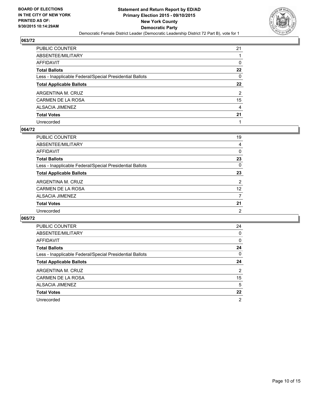

| PUBLIC COUNTER                                           | 21     |
|----------------------------------------------------------|--------|
| ABSENTEE/MILITARY                                        |        |
| AFFIDAVIT                                                | 0      |
| Total Ballots                                            | 22     |
| Less - Inapplicable Federal/Special Presidential Ballots | 0      |
| <b>Total Applicable Ballots</b>                          | $22\,$ |
| ARGENTINA M. CRUZ                                        | 2      |
| CARMEN DE LA ROSA                                        | 15     |
| ALSACIA JIMENEZ                                          | 4      |
| <b>Total Votes</b>                                       | 21     |
| Unrecorded                                               |        |

#### **064/72**

| PUBLIC COUNTER                                           | 19             |
|----------------------------------------------------------|----------------|
| ABSENTEE/MILITARY                                        | 4              |
| <b>AFFIDAVIT</b>                                         | 0              |
| <b>Total Ballots</b>                                     | 23             |
| Less - Inapplicable Federal/Special Presidential Ballots | $\Omega$       |
| <b>Total Applicable Ballots</b>                          | 23             |
| ARGENTINA M. CRUZ                                        | $\overline{2}$ |
| CARMEN DE LA ROSA                                        | 12             |
| <b>ALSACIA JIMENEZ</b>                                   | 7              |
| <b>Total Votes</b>                                       | 21             |
| Unrecorded                                               | 2              |
|                                                          |                |

| PUBLIC COUNTER                                           | 24             |
|----------------------------------------------------------|----------------|
| ABSENTEE/MILITARY                                        | 0              |
| <b>AFFIDAVIT</b>                                         | 0              |
| <b>Total Ballots</b>                                     | 24             |
| Less - Inapplicable Federal/Special Presidential Ballots | 0              |
| <b>Total Applicable Ballots</b>                          | 24             |
| ARGENTINA M. CRUZ                                        | $\overline{2}$ |
| CARMEN DE LA ROSA                                        | 15             |
| ALSACIA JIMENEZ                                          | 5              |
| <b>Total Votes</b>                                       | 22             |
| Unrecorded                                               | $\overline{2}$ |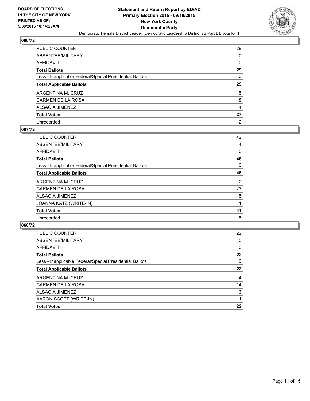

| PUBLIC COUNTER                                           | 29             |
|----------------------------------------------------------|----------------|
| ABSENTEE/MILITARY                                        | 0              |
| AFFIDAVIT                                                | 0              |
| Total Ballots                                            | 29             |
| Less - Inapplicable Federal/Special Presidential Ballots | $\mathbf{0}$   |
| <b>Total Applicable Ballots</b>                          | 29             |
| ARGENTINA M. CRUZ                                        | 5              |
| CARMEN DE LA ROSA                                        | 18             |
| ALSACIA JIMENEZ                                          | 4              |
| Total Votes                                              | 27             |
| Unrecorded                                               | $\overline{2}$ |

#### **067/72**

| <b>PUBLIC COUNTER</b>                                    | 42             |
|----------------------------------------------------------|----------------|
| ABSENTEE/MILITARY                                        | 4              |
| <b>AFFIDAVIT</b>                                         | 0              |
| <b>Total Ballots</b>                                     | 46             |
| Less - Inapplicable Federal/Special Presidential Ballots | 0              |
| <b>Total Applicable Ballots</b>                          | 46             |
| ARGENTINA M. CRUZ                                        | $\overline{2}$ |
| <b>CARMEN DE LA ROSA</b>                                 | 23             |
| <b>ALSACIA JIMENEZ</b>                                   | 15             |
| JOANNA KATZ (WRITE-IN)                                   |                |
| <b>Total Votes</b>                                       | 41             |
| Unrecorded                                               | 5              |
|                                                          |                |

| 22 |
|----|
| 0  |
| 0  |
| 22 |
| 0  |
| 22 |
| 4  |
| 14 |
| 3  |
|    |
| 22 |
|    |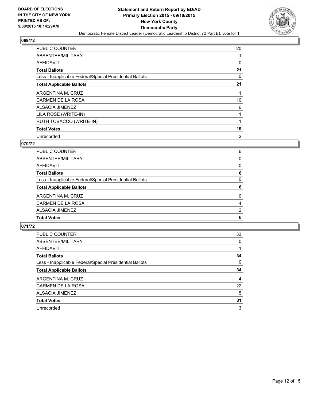

| <b>PUBLIC COUNTER</b>                                    | 20             |
|----------------------------------------------------------|----------------|
| ABSENTEE/MILITARY                                        |                |
| <b>AFFIDAVIT</b>                                         | 0              |
| <b>Total Ballots</b>                                     | 21             |
| Less - Inapplicable Federal/Special Presidential Ballots | $\Omega$       |
| <b>Total Applicable Ballots</b>                          | 21             |
| ARGENTINA M. CRUZ                                        |                |
| <b>CARMEN DE LA ROSA</b>                                 | 10             |
| ALSACIA JIMENEZ                                          | 6              |
| LILA ROSE (WRITE-IN)                                     |                |
| RUTH TOBACCO (WRITE-IN)                                  |                |
| <b>Total Votes</b>                                       | 19             |
| Unrecorded                                               | $\overline{2}$ |

## **070/72**

| <b>Total Votes</b>                                       | 6        |
|----------------------------------------------------------|----------|
| ALSACIA JIMENEZ                                          | 2        |
| CARMEN DE LA ROSA                                        | 4        |
| ARGENTINA M. CRUZ                                        | 0        |
| <b>Total Applicable Ballots</b>                          | 6        |
| Less - Inapplicable Federal/Special Presidential Ballots | 0        |
| <b>Total Ballots</b>                                     | 6        |
| <b>AFFIDAVIT</b>                                         | $\Omega$ |
| ABSENTEE/MILITARY                                        | 0        |
| PUBLIC COUNTER                                           | 6        |

| <b>PUBLIC COUNTER</b>                                    | 33 |
|----------------------------------------------------------|----|
| ABSENTEE/MILITARY                                        | 0  |
| AFFIDAVIT                                                |    |
| <b>Total Ballots</b>                                     | 34 |
| Less - Inapplicable Federal/Special Presidential Ballots | 0  |
| <b>Total Applicable Ballots</b>                          | 34 |
| ARGENTINA M. CRUZ                                        | 4  |
| <b>CARMEN DE LA ROSA</b>                                 | 22 |
| <b>ALSACIA JIMENEZ</b>                                   | 5  |
| <b>Total Votes</b>                                       | 31 |
| Unrecorded                                               | 3  |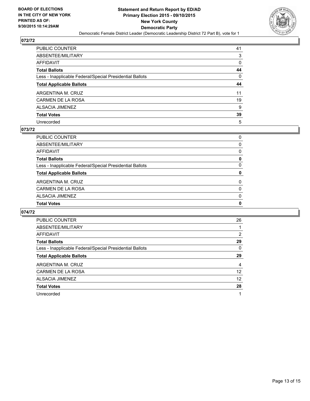

| PUBLIC COUNTER                                           | 41 |
|----------------------------------------------------------|----|
| ABSENTEE/MILITARY                                        | 3  |
| AFFIDAVIT                                                | 0  |
| Total Ballots                                            | 44 |
| Less - Inapplicable Federal/Special Presidential Ballots | 0  |
| <b>Total Applicable Ballots</b>                          | 44 |
| ARGENTINA M. CRUZ                                        | 11 |
| CARMEN DE LA ROSA                                        | 19 |
| ALSACIA JIMENEZ                                          | 9  |
| <b>Total Votes</b>                                       | 39 |
| Unrecorded                                               | 5  |

#### **073/72**

| PUBLIC COUNTER                                           | 0        |
|----------------------------------------------------------|----------|
| ABSENTEE/MILITARY                                        | 0        |
| <b>AFFIDAVIT</b>                                         | 0        |
| <b>Total Ballots</b>                                     | 0        |
| Less - Inapplicable Federal/Special Presidential Ballots | 0        |
| <b>Total Applicable Ballots</b>                          | 0        |
| ARGENTINA M. CRUZ                                        | 0        |
| <b>CARMEN DE LA ROSA</b>                                 | $\Omega$ |
| <b>ALSACIA JIMENEZ</b>                                   | $\Omega$ |
| <b>Total Votes</b>                                       | 0        |
|                                                          |          |

| <b>PUBLIC COUNTER</b>                                    | 26 |
|----------------------------------------------------------|----|
| ABSENTEE/MILITARY                                        |    |
| AFFIDAVIT                                                | 2  |
| <b>Total Ballots</b>                                     | 29 |
| Less - Inapplicable Federal/Special Presidential Ballots | 0  |
| <b>Total Applicable Ballots</b>                          | 29 |
| ARGENTINA M. CRUZ                                        | 4  |
| CARMEN DE LA ROSA                                        | 12 |
| ALSACIA JIMENEZ                                          | 12 |
| <b>Total Votes</b>                                       | 28 |
| Unrecorded                                               |    |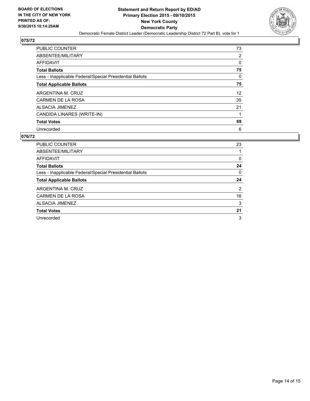

| PUBLIC COUNTER                                           | 73                |
|----------------------------------------------------------|-------------------|
| ABSENTEE/MILITARY                                        | 2                 |
| <b>AFFIDAVIT</b>                                         | 0                 |
| <b>Total Ballots</b>                                     | 75                |
| Less - Inapplicable Federal/Special Presidential Ballots | 0                 |
| <b>Total Applicable Ballots</b>                          | 75                |
| ARGENTINA M. CRUZ                                        | $12 \overline{ }$ |
| CARMEN DE LA ROSA                                        | 35                |
| ALSACIA JIMENEZ                                          | 21                |
| CANDIDA LINARES (WRITE-IN)                               |                   |
| <b>Total Votes</b>                                       | 69                |
| Unrecorded                                               | 6                 |

| <b>PUBLIC COUNTER</b>                                    | 23 |
|----------------------------------------------------------|----|
| ABSENTEE/MILITARY                                        |    |
| <b>AFFIDAVIT</b>                                         | 0  |
| <b>Total Ballots</b>                                     | 24 |
| Less - Inapplicable Federal/Special Presidential Ballots | 0  |
| <b>Total Applicable Ballots</b>                          | 24 |
| ARGENTINA M. CRUZ                                        | 2  |
| CARMEN DE LA ROSA                                        | 16 |
| ALSACIA JIMENEZ                                          | 3  |
| <b>Total Votes</b>                                       | 21 |
| Unrecorded                                               | 3  |